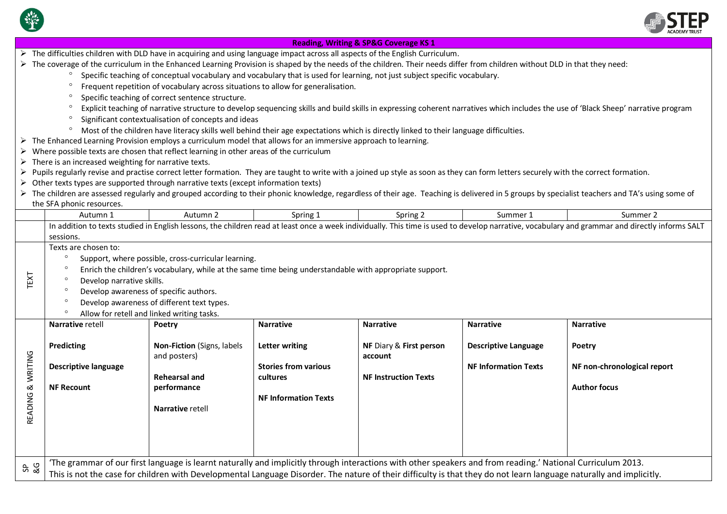



| <b>Reading, Writing &amp; SP&amp;G Coverage KS 1</b>                                                                                                                                                                                                                                                                                                                                                                                |                                                                                                                                                                                                                                                                                                                                    |                                                                                                       |                                                                                                 |                                                                                                                                                                                        |                                                            |                                                                                                                                                                                                 |  |  |  |
|-------------------------------------------------------------------------------------------------------------------------------------------------------------------------------------------------------------------------------------------------------------------------------------------------------------------------------------------------------------------------------------------------------------------------------------|------------------------------------------------------------------------------------------------------------------------------------------------------------------------------------------------------------------------------------------------------------------------------------------------------------------------------------|-------------------------------------------------------------------------------------------------------|-------------------------------------------------------------------------------------------------|----------------------------------------------------------------------------------------------------------------------------------------------------------------------------------------|------------------------------------------------------------|-------------------------------------------------------------------------------------------------------------------------------------------------------------------------------------------------|--|--|--|
|                                                                                                                                                                                                                                                                                                                                                                                                                                     | > The difficulties children with DLD have in acquiring and using language impact across all aspects of the English Curriculum.                                                                                                                                                                                                     |                                                                                                       |                                                                                                 |                                                                                                                                                                                        |                                                            |                                                                                                                                                                                                 |  |  |  |
|                                                                                                                                                                                                                                                                                                                                                                                                                                     | > The coverage of the curriculum in the Enhanced Learning Provision is shaped by the needs of the children. Their needs differ from children without DLD in that they need:                                                                                                                                                        |                                                                                                       |                                                                                                 |                                                                                                                                                                                        |                                                            |                                                                                                                                                                                                 |  |  |  |
|                                                                                                                                                                                                                                                                                                                                                                                                                                     | Specific teaching of conceptual vocabulary and vocabulary that is used for learning, not just subject specific vocabulary.                                                                                                                                                                                                         |                                                                                                       |                                                                                                 |                                                                                                                                                                                        |                                                            |                                                                                                                                                                                                 |  |  |  |
|                                                                                                                                                                                                                                                                                                                                                                                                                                     | Frequent repetition of vocabulary across situations to allow for generalisation.                                                                                                                                                                                                                                                   |                                                                                                       |                                                                                                 |                                                                                                                                                                                        |                                                            |                                                                                                                                                                                                 |  |  |  |
|                                                                                                                                                                                                                                                                                                                                                                                                                                     | Specific teaching of correct sentence structure.                                                                                                                                                                                                                                                                                   |                                                                                                       |                                                                                                 |                                                                                                                                                                                        |                                                            |                                                                                                                                                                                                 |  |  |  |
|                                                                                                                                                                                                                                                                                                                                                                                                                                     | Explicit teaching of narrative structure to develop sequencing skills and build skills in expressing coherent narratives which includes the use of 'Black Sheep' narrative program                                                                                                                                                 |                                                                                                       |                                                                                                 |                                                                                                                                                                                        |                                                            |                                                                                                                                                                                                 |  |  |  |
|                                                                                                                                                                                                                                                                                                                                                                                                                                     | Significant contextualisation of concepts and ideas                                                                                                                                                                                                                                                                                |                                                                                                       |                                                                                                 |                                                                                                                                                                                        |                                                            |                                                                                                                                                                                                 |  |  |  |
|                                                                                                                                                                                                                                                                                                                                                                                                                                     | Most of the children have literacy skills well behind their age expectations which is directly linked to their language difficulties.                                                                                                                                                                                              |                                                                                                       |                                                                                                 |                                                                                                                                                                                        |                                                            |                                                                                                                                                                                                 |  |  |  |
|                                                                                                                                                                                                                                                                                                                                                                                                                                     | $\triangleright$ The Enhanced Learning Provision employs a curriculum model that allows for an immersive approach to learning.                                                                                                                                                                                                     |                                                                                                       |                                                                                                 |                                                                                                                                                                                        |                                                            |                                                                                                                                                                                                 |  |  |  |
|                                                                                                                                                                                                                                                                                                                                                                                                                                     | > Where possible texts are chosen that reflect learning in other areas of the curriculum                                                                                                                                                                                                                                           |                                                                                                       |                                                                                                 |                                                                                                                                                                                        |                                                            |                                                                                                                                                                                                 |  |  |  |
|                                                                                                                                                                                                                                                                                                                                                                                                                                     | $\triangleright$ There is an increased weighting for narrative texts.                                                                                                                                                                                                                                                              |                                                                                                       |                                                                                                 |                                                                                                                                                                                        |                                                            |                                                                                                                                                                                                 |  |  |  |
|                                                                                                                                                                                                                                                                                                                                                                                                                                     |                                                                                                                                                                                                                                                                                                                                    |                                                                                                       |                                                                                                 | > Pupils regularly revise and practise correct letter formation. They are taught to write with a joined up style as soon as they can form letters securely with the correct formation. |                                                            |                                                                                                                                                                                                 |  |  |  |
|                                                                                                                                                                                                                                                                                                                                                                                                                                     | > Other texts types are supported through narrative texts (except information texts)                                                                                                                                                                                                                                               |                                                                                                       |                                                                                                 |                                                                                                                                                                                        |                                                            |                                                                                                                                                                                                 |  |  |  |
|                                                                                                                                                                                                                                                                                                                                                                                                                                     |                                                                                                                                                                                                                                                                                                                                    |                                                                                                       |                                                                                                 |                                                                                                                                                                                        |                                                            | > The children are assessed regularly and grouped according to their phonic knowledge, regardless of their age. Teaching is delivered in 5 groups by specialist teachers and TA's using some of |  |  |  |
|                                                                                                                                                                                                                                                                                                                                                                                                                                     | the SFA phonic resources.                                                                                                                                                                                                                                                                                                          |                                                                                                       |                                                                                                 |                                                                                                                                                                                        |                                                            |                                                                                                                                                                                                 |  |  |  |
|                                                                                                                                                                                                                                                                                                                                                                                                                                     | Autumn 1                                                                                                                                                                                                                                                                                                                           | Autumn 2                                                                                              | Spring 1                                                                                        | Spring 2                                                                                                                                                                               | Summer 1                                                   | Summer 2                                                                                                                                                                                        |  |  |  |
|                                                                                                                                                                                                                                                                                                                                                                                                                                     | In addition to texts studied in English lessons, the children read at least once a week individually. This time is used to develop narrative, vocabulary and grammar and directly informs SALT                                                                                                                                     |                                                                                                       |                                                                                                 |                                                                                                                                                                                        |                                                            |                                                                                                                                                                                                 |  |  |  |
|                                                                                                                                                                                                                                                                                                                                                                                                                                     | sessions.                                                                                                                                                                                                                                                                                                                          |                                                                                                       |                                                                                                 |                                                                                                                                                                                        |                                                            |                                                                                                                                                                                                 |  |  |  |
| Texts are chosen to:<br>$\circ$<br>Support, where possible, cross-curricular learning.<br>$\circ$<br>Enrich the children's vocabulary, while at the same time being understandable with appropriate support.<br>LEXL<br>$\circ$<br>Develop narrative skills.<br>Develop awareness of specific authors.<br>$\circ$<br>Develop awareness of different text types.<br>$\circ$<br>$\circ$<br>Allow for retell and linked writing tasks. |                                                                                                                                                                                                                                                                                                                                    |                                                                                                       |                                                                                                 |                                                                                                                                                                                        |                                                            |                                                                                                                                                                                                 |  |  |  |
|                                                                                                                                                                                                                                                                                                                                                                                                                                     | <b>Narrative retell</b>                                                                                                                                                                                                                                                                                                            | Poetry                                                                                                | <b>Narrative</b>                                                                                | <b>Narrative</b>                                                                                                                                                                       | <b>Narrative</b>                                           | <b>Narrative</b>                                                                                                                                                                                |  |  |  |
| READING & WRITING                                                                                                                                                                                                                                                                                                                                                                                                                   | Predicting<br><b>Descriptive language</b><br><b>NF Recount</b>                                                                                                                                                                                                                                                                     | Non-Fiction (Signs, labels<br>and posters)<br><b>Rehearsal and</b><br>performance<br>Narrative retell | <b>Letter writing</b><br><b>Stories from various</b><br>cultures<br><b>NF Information Texts</b> | NF Diary & First person<br>account<br><b>NF Instruction Texts</b>                                                                                                                      | <b>Descriptive Language</b><br><b>NF Information Texts</b> | Poetry<br>NF non-chronological report<br><b>Author focus</b>                                                                                                                                    |  |  |  |
| SB<br>&G                                                                                                                                                                                                                                                                                                                                                                                                                            | 'The grammar of our first language is learnt naturally and implicitly through interactions with other speakers and from reading.' National Curriculum 2013.<br>This is not the case for children with Developmental Language Disorder. The nature of their difficulty is that they do not learn language naturally and implicitly. |                                                                                                       |                                                                                                 |                                                                                                                                                                                        |                                                            |                                                                                                                                                                                                 |  |  |  |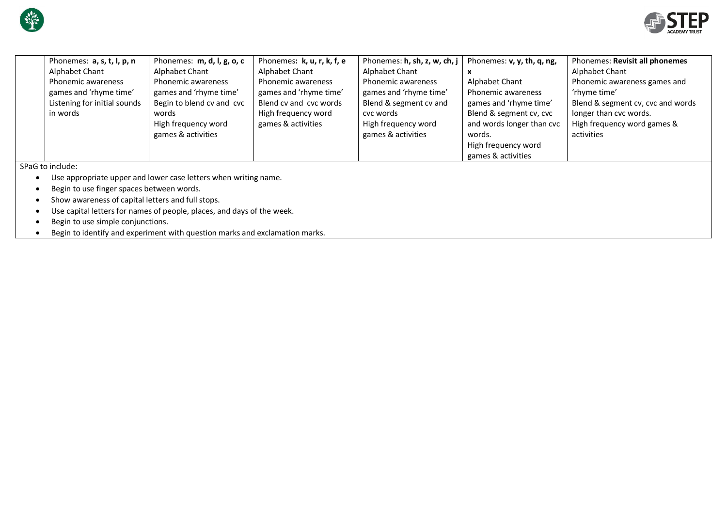



|                    | Phonemes: a, s, t, l, p, n   | Phonemes: m, d, l, g, o, c | Phonemes: k, u, r, k, f, e | Phonemes: $h$ , sh, z, w, ch, $j \mid$ | Phonemes: v, y, th, q, ng, | Phonemes: Revisit all phonemes    |  |
|--------------------|------------------------------|----------------------------|----------------------------|----------------------------------------|----------------------------|-----------------------------------|--|
|                    | Alphabet Chant               | Alphabet Chant             | Alphabet Chant             | Alphabet Chant                         |                            | Alphabet Chant                    |  |
|                    | Phonemic awareness           | Phonemic awareness         | Phonemic awareness         | Phonemic awareness                     | Alphabet Chant             | Phonemic awareness games and      |  |
|                    | games and 'rhyme time'       | games and 'rhyme time'     | games and 'rhyme time'     | games and 'rhyme time'                 | Phonemic awareness         | 'rhyme time'                      |  |
|                    | Listening for initial sounds | Begin to blend cv and cvc  | Blend cy and cyc words     | Blend & segment cv and                 | games and 'rhyme time'     | Blend & segment cv, cvc and words |  |
|                    | in words                     | words                      | High frequency word        | cyc words                              | Blend & segment cv, cvc    | longer than cvc words.            |  |
|                    |                              | High frequency word        | games & activities         | High frequency word                    | and words longer than cvc  | High frequency word games &       |  |
|                    |                              | games & activities         |                            | games & activities                     | words.                     | activities                        |  |
|                    |                              |                            |                            |                                        | High frequency word        |                                   |  |
|                    |                              |                            |                            |                                        | games & activities         |                                   |  |
| $SDaG$ to include: |                              |                            |                            |                                        |                            |                                   |  |

SPaG to include:

- Use appropriate upper and lower case letters when writing name.
- Begin to use finger spaces between words.
- Show awareness of capital letters and full stops.
- Use capital letters for names of people, places, and days of the week.
- Begin to use simple conjunctions.
- Begin to identify and experiment with question marks and exclamation marks.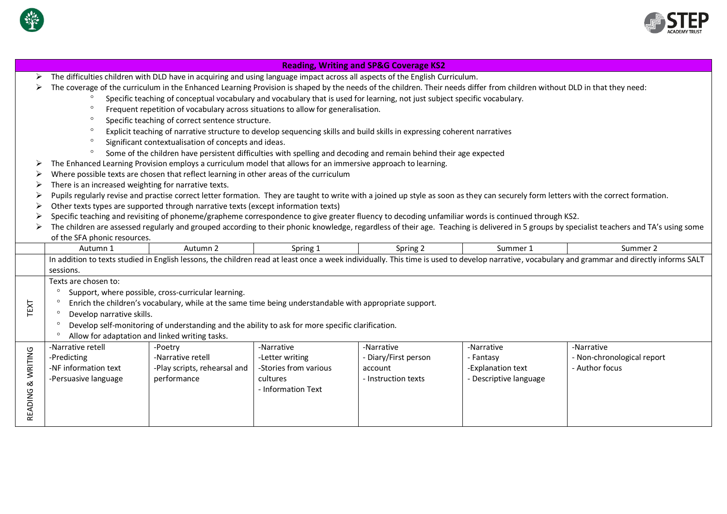

 $\overline{\phantom{a}}$ 



| <b>Reading, Writing and SP&amp;G Coverage KS2</b>                                                                                                                                              |                                                                                                                                                                           |                                                                                                                                                                                                                               |                                                                                                      |                                                                                                                                                                                                                                                                                                 |                                                                                                                                                                                                                                          |  |  |
|------------------------------------------------------------------------------------------------------------------------------------------------------------------------------------------------|---------------------------------------------------------------------------------------------------------------------------------------------------------------------------|-------------------------------------------------------------------------------------------------------------------------------------------------------------------------------------------------------------------------------|------------------------------------------------------------------------------------------------------|-------------------------------------------------------------------------------------------------------------------------------------------------------------------------------------------------------------------------------------------------------------------------------------------------|------------------------------------------------------------------------------------------------------------------------------------------------------------------------------------------------------------------------------------------|--|--|
| The difficulties children with DLD have in acquiring and using language impact across all aspects of the English Curriculum.                                                                   |                                                                                                                                                                           |                                                                                                                                                                                                                               |                                                                                                      |                                                                                                                                                                                                                                                                                                 |                                                                                                                                                                                                                                          |  |  |
|                                                                                                                                                                                                | The coverage of the curriculum in the Enhanced Learning Provision is shaped by the needs of the children. Their needs differ from children without DLD in that they need: |                                                                                                                                                                                                                               |                                                                                                      |                                                                                                                                                                                                                                                                                                 |                                                                                                                                                                                                                                          |  |  |
| Specific teaching of conceptual vocabulary and vocabulary that is used for learning, not just subject specific vocabulary.                                                                     |                                                                                                                                                                           |                                                                                                                                                                                                                               |                                                                                                      |                                                                                                                                                                                                                                                                                                 |                                                                                                                                                                                                                                          |  |  |
| $\circ$<br>Frequent repetition of vocabulary across situations to allow for generalisation.                                                                                                    |                                                                                                                                                                           |                                                                                                                                                                                                                               |                                                                                                      |                                                                                                                                                                                                                                                                                                 |                                                                                                                                                                                                                                          |  |  |
| $\circ$<br>Specific teaching of correct sentence structure.                                                                                                                                    |                                                                                                                                                                           |                                                                                                                                                                                                                               |                                                                                                      |                                                                                                                                                                                                                                                                                                 |                                                                                                                                                                                                                                          |  |  |
| $\circ$<br>Explicit teaching of narrative structure to develop sequencing skills and build skills in expressing coherent narratives                                                            |                                                                                                                                                                           |                                                                                                                                                                                                                               |                                                                                                      |                                                                                                                                                                                                                                                                                                 |                                                                                                                                                                                                                                          |  |  |
| Significant contextualisation of concepts and ideas.<br>$\circ$                                                                                                                                |                                                                                                                                                                           |                                                                                                                                                                                                                               |                                                                                                      |                                                                                                                                                                                                                                                                                                 |                                                                                                                                                                                                                                          |  |  |
| $\circ$<br>Some of the children have persistent difficulties with spelling and decoding and remain behind their age expected                                                                   |                                                                                                                                                                           |                                                                                                                                                                                                                               |                                                                                                      |                                                                                                                                                                                                                                                                                                 |                                                                                                                                                                                                                                          |  |  |
| The Enhanced Learning Provision employs a curriculum model that allows for an immersive approach to learning.                                                                                  |                                                                                                                                                                           |                                                                                                                                                                                                                               |                                                                                                      |                                                                                                                                                                                                                                                                                                 |                                                                                                                                                                                                                                          |  |  |
| Where possible texts are chosen that reflect learning in other areas of the curriculum                                                                                                         |                                                                                                                                                                           |                                                                                                                                                                                                                               |                                                                                                      |                                                                                                                                                                                                                                                                                                 |                                                                                                                                                                                                                                          |  |  |
| There is an increased weighting for narrative texts.                                                                                                                                           |                                                                                                                                                                           |                                                                                                                                                                                                                               |                                                                                                      |                                                                                                                                                                                                                                                                                                 |                                                                                                                                                                                                                                          |  |  |
| Pupils regularly revise and practise correct letter formation. They are taught to write with a joined up style as soon as they can securely form letters with the correct formation.           |                                                                                                                                                                           |                                                                                                                                                                                                                               |                                                                                                      |                                                                                                                                                                                                                                                                                                 |                                                                                                                                                                                                                                          |  |  |
| Other texts types are supported through narrative texts (except information texts)                                                                                                             |                                                                                                                                                                           |                                                                                                                                                                                                                               |                                                                                                      |                                                                                                                                                                                                                                                                                                 |                                                                                                                                                                                                                                          |  |  |
|                                                                                                                                                                                                |                                                                                                                                                                           |                                                                                                                                                                                                                               |                                                                                                      |                                                                                                                                                                                                                                                                                                 |                                                                                                                                                                                                                                          |  |  |
| The children are assessed regularly and grouped according to their phonic knowledge, regardless of their age. Teaching is delivered in 5 groups by specialist teachers and TA's using some     |                                                                                                                                                                           |                                                                                                                                                                                                                               |                                                                                                      |                                                                                                                                                                                                                                                                                                 |                                                                                                                                                                                                                                          |  |  |
| of the SFA phonic resources.                                                                                                                                                                   |                                                                                                                                                                           |                                                                                                                                                                                                                               |                                                                                                      |                                                                                                                                                                                                                                                                                                 |                                                                                                                                                                                                                                          |  |  |
|                                                                                                                                                                                                |                                                                                                                                                                           |                                                                                                                                                                                                                               |                                                                                                      |                                                                                                                                                                                                                                                                                                 | Summer 2                                                                                                                                                                                                                                 |  |  |
| In addition to texts studied in English lessons, the children read at least once a week individually. This time is used to develop narrative, vocabulary and grammar and directly informs SALT |                                                                                                                                                                           |                                                                                                                                                                                                                               |                                                                                                      |                                                                                                                                                                                                                                                                                                 |                                                                                                                                                                                                                                          |  |  |
|                                                                                                                                                                                                |                                                                                                                                                                           |                                                                                                                                                                                                                               |                                                                                                      |                                                                                                                                                                                                                                                                                                 |                                                                                                                                                                                                                                          |  |  |
|                                                                                                                                                                                                |                                                                                                                                                                           |                                                                                                                                                                                                                               |                                                                                                      |                                                                                                                                                                                                                                                                                                 |                                                                                                                                                                                                                                          |  |  |
|                                                                                                                                                                                                |                                                                                                                                                                           |                                                                                                                                                                                                                               |                                                                                                      |                                                                                                                                                                                                                                                                                                 |                                                                                                                                                                                                                                          |  |  |
|                                                                                                                                                                                                |                                                                                                                                                                           |                                                                                                                                                                                                                               |                                                                                                      |                                                                                                                                                                                                                                                                                                 |                                                                                                                                                                                                                                          |  |  |
|                                                                                                                                                                                                |                                                                                                                                                                           |                                                                                                                                                                                                                               |                                                                                                      |                                                                                                                                                                                                                                                                                                 |                                                                                                                                                                                                                                          |  |  |
|                                                                                                                                                                                                |                                                                                                                                                                           |                                                                                                                                                                                                                               |                                                                                                      |                                                                                                                                                                                                                                                                                                 |                                                                                                                                                                                                                                          |  |  |
|                                                                                                                                                                                                |                                                                                                                                                                           |                                                                                                                                                                                                                               |                                                                                                      |                                                                                                                                                                                                                                                                                                 |                                                                                                                                                                                                                                          |  |  |
|                                                                                                                                                                                                |                                                                                                                                                                           |                                                                                                                                                                                                                               |                                                                                                      |                                                                                                                                                                                                                                                                                                 | -Narrative                                                                                                                                                                                                                               |  |  |
|                                                                                                                                                                                                |                                                                                                                                                                           |                                                                                                                                                                                                                               |                                                                                                      |                                                                                                                                                                                                                                                                                                 | - Non-chronological report                                                                                                                                                                                                               |  |  |
|                                                                                                                                                                                                |                                                                                                                                                                           |                                                                                                                                                                                                                               |                                                                                                      |                                                                                                                                                                                                                                                                                                 | - Author focus                                                                                                                                                                                                                           |  |  |
|                                                                                                                                                                                                |                                                                                                                                                                           |                                                                                                                                                                                                                               |                                                                                                      |                                                                                                                                                                                                                                                                                                 |                                                                                                                                                                                                                                          |  |  |
|                                                                                                                                                                                                |                                                                                                                                                                           |                                                                                                                                                                                                                               |                                                                                                      |                                                                                                                                                                                                                                                                                                 |                                                                                                                                                                                                                                          |  |  |
|                                                                                                                                                                                                |                                                                                                                                                                           |                                                                                                                                                                                                                               |                                                                                                      |                                                                                                                                                                                                                                                                                                 |                                                                                                                                                                                                                                          |  |  |
|                                                                                                                                                                                                |                                                                                                                                                                           |                                                                                                                                                                                                                               |                                                                                                      |                                                                                                                                                                                                                                                                                                 |                                                                                                                                                                                                                                          |  |  |
|                                                                                                                                                                                                | Autumn 1<br>sessions.<br>Texts are chosen to:<br>-Narrative retell<br>-Predicting<br>-NF information text<br>-Persuasive language                                         | Autumn 2<br>Support, where possible, cross-curricular learning.<br>Develop narrative skills.<br>Allow for adaptation and linked writing tasks.<br>-Poetry<br>-Narrative retell<br>-Play scripts, rehearsal and<br>performance | Spring 1<br>-Narrative<br>-Letter writing<br>-Stories from various<br>cultures<br>- Information Text | Spring 2<br>Enrich the children's vocabulary, while at the same time being understandable with appropriate support.<br>Develop self-monitoring of understanding and the ability to ask for more specific clarification.<br>-Narrative<br>- Diary/First person<br>account<br>- Instruction texts | Specific teaching and revisiting of phoneme/grapheme correspondence to give greater fluency to decoding unfamiliar words is continued through KS2.<br>Summer 1<br>-Narrative<br>- Fantasy<br>-Explanation text<br>- Descriptive language |  |  |